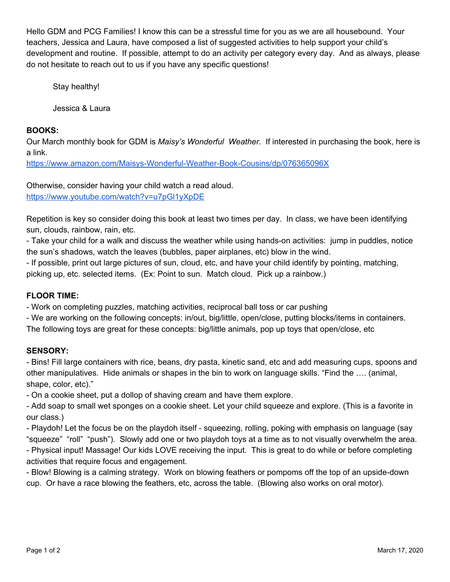Hello GDM and PCG Families! I know this can be a stressful time for you as we are all housebound. Your teachers, Jessica and Laura, have composed a list of suggested activities to help support your child's development and routine. If possible, attempt to do an activity per category every day. And as always, please do not hesitate to reach out to us if you have any specific questions!

Stay healthy!

Jessica & Laura

## **BOOKS:**

Our March monthly book for GDM is *Maisy's Wonderful Weather*. If interested in purchasing the book, here is a link.

<https://www.amazon.com/Maisys-Wonderful-Weather-Book-Cousins/dp/076365096X>

Otherwise, consider having your child watch a read aloud. <https://www.youtube.com/watch?v=u7pGl1yXpDE>

Repetition is key so consider doing this book at least two times per day. In class, we have been identifying sun, clouds, rainbow, rain, etc.

- Take your child for a walk and discuss the weather while using hands-on activities: jump in puddles, notice the sun's shadows, watch the leaves (bubbles, paper airplanes, etc) blow in the wind.

- If possible, print out large pictures of sun, cloud, etc, and have your child identify by pointing, matching, picking up, etc. selected items. (Ex: Point to sun. Match cloud. Pick up a rainbow.)

## **FLOOR TIME:**

- Work on completing puzzles, matching activities, reciprocal ball toss or car pushing

- We are working on the following concepts: in/out, big/little, open/close, putting blocks/items in containers.

The following toys are great for these concepts: big/little animals, pop up toys that open/close, etc

# **SENSORY:**

- Bins! Fill large containers with rice, beans, dry pasta, kinetic sand, etc and add measuring cups, spoons and other manipulatives. Hide animals or shapes in the bin to work on language skills. "Find the …. (animal, shape, color, etc)."

- On a cookie sheet, put a dollop of shaving cream and have them explore.

- Add soap to small wet sponges on a cookie sheet. Let your child squeeze and explore. (This is a favorite in our class.)

- Playdoh! Let the focus be on the playdoh itself - squeezing, rolling, poking with emphasis on language (say "squeeze" "roll" "push"). Slowly add one or two playdoh toys at a time as to not visually overwhelm the area. - Physical input! Massage! Our kids LOVE receiving the input. This is great to do while or before completing activities that require focus and engagement.

- Blow! Blowing is a calming strategy. Work on blowing feathers or pompoms off the top of an upside-down cup. Or have a race blowing the feathers, etc, across the table. (Blowing also works on oral motor).